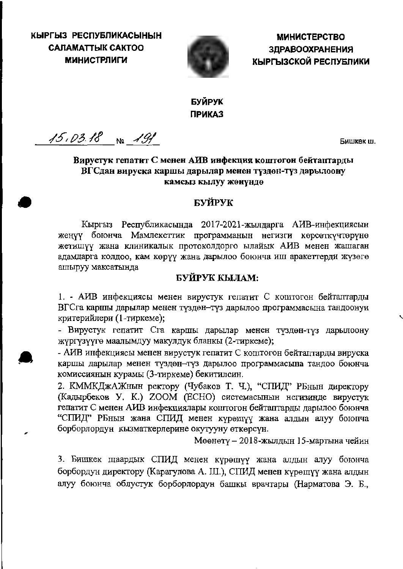КЫРГЫЗ РЕСПУБЛИКАСЫНЫН **CAJIAMATTHIK CAKTOO МИНИСТРЛИГИ** 



**МИНИСТЕРСТВО ЗДРАВООХРАНЕНИЯ** КЫРГЫЗСКОЙ РЕСПУБЛИКИ

# БУЙРУК **ПРИКАЗ**

 $15.03.18$  No  $191$ 

Бишкек ш.

# Вирустук гепатит С менен АИВ инфекция коштогон бейтаптарды ВГСдан вируска каршы дарылар менен түздөн-түз дарылоону камсыз кылуу жөнүндө

# БУЙРУК

Кыргыз Республикасында 2017-2021-жылдарга АИВ-инфекциясын жеңүү боюнча Мамлекеттик программанын негизги көрсөткүчтөрүнө жетишүү жана клиникалык протоколдорго ылайык АИВ менен жашаган адамдарга колдоо, кам көрүү жана дарылоо боюнча иш аракеттерди жүзөгө ашыруу максатында

# БУЙРУК КЫЛАМ:

1. - АИВ инфекциясы менен вирустук гепатит С коштогон бейтаптарды ВГСга каршы дарылар менен түздөн-түз дарылоо программасына тандоонун критерийлери (1-тиркеме);

- Вирустук гепатит Сга каршы дарылар менен түздөн-түз дарылоону жүргүзүүгө маалымдуу макулдук бланкы (2-тиркеме);

- АИВ инфекциясы менен вирустук гепатит С коштогон бейтаптарды вируска каршы дарылар менен түздөн-түз дарылоо программасына тандоо боюнча комиссиянын курамы (3-тиркеме) бекитилсин.

2. КММКДжАЖнын ректору (Чубаков Т. Ч.), "СПИД" РБнын директору (Кадырбеков У. К.) ZOOM (ЕСНО) системасынын негизинде вирустук гепатит С менен АИВ инфекциялары коштогон бейтаптарды дарылоо боюнча "СПИД" РБнын жана СПИД менен күрөшүү жана алдын алуу боюнча борборлордун кызматкерлерине окутууну өткөрсүн.

Мөөнөтү – 2018-жылдын 15-мартына чейин

3. Бишкек шаардык СПИД менен күрөшүү жана алдын алуу боюнча борбордун директору (Карагулова А. Ш.), СПИД менен күрөшүү жана алдын алуу боюнча облустук борборлордун башкы врачтары (Нарматова Э. Б.,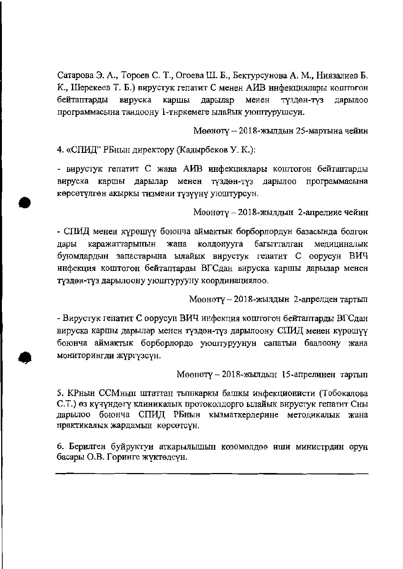Сатарова Э. А., Тороев С. Т., Огоева Ш. Б., Бектурсунова А. М., Ниязалиев Б. К., Шерекеев Т. Б.) вирустук гепатит С менен АИВ инфекциялары коштогон бейтаптарды вируска каршы дарылар менен түздөн-түз дарылоо программасына тандоону 1-тнркемеге ылайык уюштурушсун.

Мөөнөтү - 2018-жылдын 25-мартына чейин

4. «СПИД" РБнын директору (Кадырбеков У. К.):

- вирустук гепатит С жана АИВ инфекциялары коштогон бейтаптарды вируска каршы дарылар менен түздөн-түз дарылоо программасына көрсөтүлгөн акыркы тизмени түзүүнү уюштурсун.

Мөөнөтү – 2018-жылдын 2-апрелиие чейин

- СПИД менен күрөшүү боюнча аймактык борборлордун базасында болгон дары каражаттарынын жана колдонууга багытталган медициналык буюмдардын запастарына ылайык вирустук гепатит С оорусун ВИЧ инфекция коштогон бейтаптарды ВГСдан вируска каршы дарылар менен түздөн-түз дарылоону уюштурууну координациялоо.

Мөөнөтү - 2018-жылдын 2-апрелден тартып

- Вирустук гепатит С оорусун ВИЧ инфекция коштогон бейтаптарды ВГСдан вируска каршы дарылар менен түздөн-түз дарылоону СПИД менен күрөшүү боюнча аймактык борборлордо уюштуруунун сапатын баалоону жана мониторингди жүргүзсүн.

Мөөнөтү - 2018-жылдын 15-апрелинен тартып

5. КРнын ССМнын штаттан тышкаркы башкы инфекционисти (Тобокалова С.Т.) өз күчүндөгү клиникалык протоколдорго ылайык вирустук гепатит Сны дарылоо боюнча СПИД РБнын кызматкерлерине методикалык жана практикалык жардамын көрсөтсүн.

6. Берилген буйруктун аткарылышын көзөмөлдөө иши министрдин орун басары О.В. Горинге жүктөлсүн.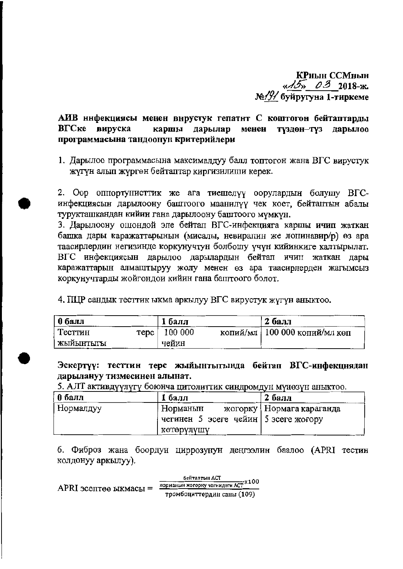КРиын ССМиын  $\frac{15}{2018-x}$ №/9/ буйругуна 1-тиркеме

#### АИВ ннфекциясы менен внрустук гепатнт С коштогон бейтаптарды ВГСке вируска каршы дарылар менен түздөн-түз дарылоо программасына тандоонун критерийлери

1. Дарылоо программасына максималдуу балл топтогон жана ВГС вирустук жүгүн алып жүргөн бейтаптар киргизилиши керек.

2. Оор опнортунисттик же ага тиешелүү оорулардын болушу ВГСинфекциясын дарылоону баштоого маанилүү чек коет, бейтаптын абалы турукташкандан кийин гана дарылоону баштоого мүмкүн.

3. Дарылоону ошондой эле бейтап ВГС-инфекцияга каршы ичип жаткан башка дары каражаттарынын (мисалы, невиралин же лопинавир/р) өз ара таасирлердин негизинде коркунучтун болбошу үчүн кийинкиге калтырылат. ВГС инфекциясын дарылоо дарылардын бейтап ичип жаткан дары каражаттарын алмаштыруу жолу менен өз ара таасирлерден жагымсыз коркунучтарды жойгондои кийин гана баштоого болот.

4. ПЦР сандык тесттик ыкма аркылуу ВГС вирустук жүгүн аныктоо.

| $\vert$ 0 балл | 1 балл        | 2 балл                          |
|----------------|---------------|---------------------------------|
| Тесттин        | repc   100000 | копий/мл   100 000 копий/мл көп |
| жыйынтыгы      | чейин         |                                 |

Эскертүү: тесттин терс жыйынтыгында бейтап ВГС-инфекцнядан дарылануу тизмесинен алынат.

5. АЛТ активдүүлүгү боюнча цитолиттик синдромдун мүнөзүн аныктоо.

| 0 балл    | 1 балл                               | 2 балл                      |
|-----------|--------------------------------------|-----------------------------|
| Нормалдуу | . Норманын                           | жогорку   Нормага караганда |
|           | чегинен 5 эсеге чейин 5 эсеге жогору |                             |
|           | көтөрүлүшү                           |                             |

6. Фиброз жана боордун циррозунун деңгээлин баалоо (APRI тестин колдонуу аркылуу).

бейтаптын АСТ APRI эсептөө ыкмасы =  $\frac{100 \text{M} \cdot \text{M}}{100 \text{M} \cdot \text{M}} \times 100$ тромбоциттердин саны (109)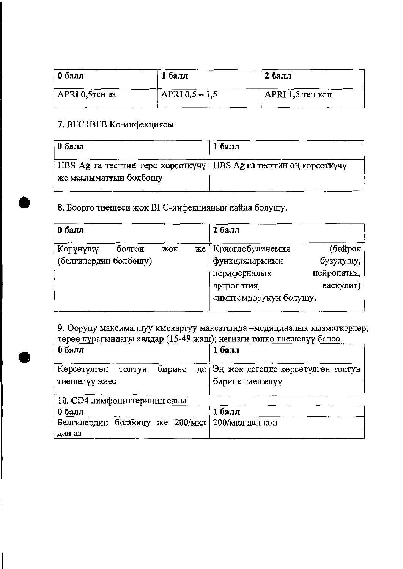| 0 балл          | 1 балл           | $26a$ лл           |
|-----------------|------------------|--------------------|
| APRI 0,5 ren a3 | APRI $0,5 - 1,5$ | $APRI$ 1,5 тен көп |

# 7. ВГС+ВГВ Ко-инфекциясы.

| 0 балл                                                                                        | 1 балл |
|-----------------------------------------------------------------------------------------------|--------|
| HBS Ag га тесттин терс көрсөткүчү   HBS Ag га тесттин оң көрсөткүчү<br>же маалыматтын болбошу |        |
|                                                                                               |        |

# 8. Боорго тиешеси жок ВГС-инфекциянын пайда болушу.

| 0 балл                                      |     | 2 балл                                                                                           |                                                  |
|---------------------------------------------|-----|--------------------------------------------------------------------------------------------------|--------------------------------------------------|
| Көрүнүшү<br>болгон<br>(белгилердин болбошу) | жок | же   Криоглобулинемия<br>функцияларынын<br>перифериялык<br>артропатия,<br>симптомдорунун болушу. | (бөйрөк<br>бузулушу,<br>нейропатия,<br>васкулит) |

9. Ооруну максималдуу кыскартуу максатында -медициналык кызматкерлер; төрөө курагындагы аялдар (15-49 жаш); негизги топко тиешелүү болсо.

| 0 балл        |  | 1 балл                                                          |
|---------------|--|-----------------------------------------------------------------|
|               |  | Көрсөтүлгөн топтун бирине да   Эңжок дегенде көрсөтүлгөн топтун |
| тиешелүү эмес |  | бирине тиешелүү                                                 |

10. СD4 лимфоциттеринин саны

| 0 балл |  | 1 балл                                         |
|--------|--|------------------------------------------------|
|        |  | Белгилердин болбошу же 200/мкл 200/мкл дан көп |
| дан аз |  |                                                |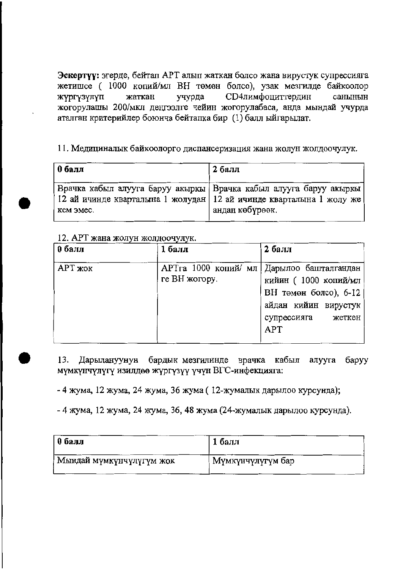Эскертүү: эгерде, бейтап АРТ алып жаткан болсо жана вирустук супрессияга жетишсе (1000 копий/мл ВН төмөн болсо), узак мезгилде байкоолор СD4лимфоциттердин жаткан учурда санынын жүргүзүлүп жогорулашы 200/мкл деңгээлге чейин жогорулабаса, анда мындай учурда аталган критерийлер боюнча бейтапка бир (1) балл ыйгарылат.

# 11. Медициналык байкоолорго диспансеризация жана жолун жолдоочулук.

| 0 балл                                                                | 2 балл                                                            |
|-----------------------------------------------------------------------|-------------------------------------------------------------------|
| 12 ай ичинде кварталына 1 жолудан   12 ай ичинде кварталына 1 жолу же | Врачка кабыл алууга баруу акыркы Врачка кабыл алууга баруу акыркы |
| кем эмес.                                                             | андан көбүрөөк.                                                   |

### 12. АРТ жана жолун жолдоочулук.

| 0 балл  | 1 балл        | 2 балл                                                                                                                                             |
|---------|---------------|----------------------------------------------------------------------------------------------------------------------------------------------------|
| АРТ жок | ге ВН жогору. | АРТга 1000 копий/ мл Дарылоо башталгандан<br>кийин (1000 копий/мл<br>ВН төмөн болсо), 6-12<br>айдан кийин вирустук<br>супрессияга<br>жеткен<br>APT |

Дарылануунун бардык мезгилинде врачка кабыл алууга баруу 13. мүмкүнчүлүгү изилдөө жүргүзүү үчүн ВГС-инфекцияга:

- 4 жума, 12 жума, 24 жума, 36 жума (12-жумалык дарылоо курсунда);

- 4 жума, 12 жума, 24 жума, 36, 48 жума (24-жумалык дарылоо курсунда).

| $05a$ лл                 | $16a$ лл          |
|--------------------------|-------------------|
| Мындай мүмкүнчүлүгүм жок | Мүмкүнчүлүгүм бар |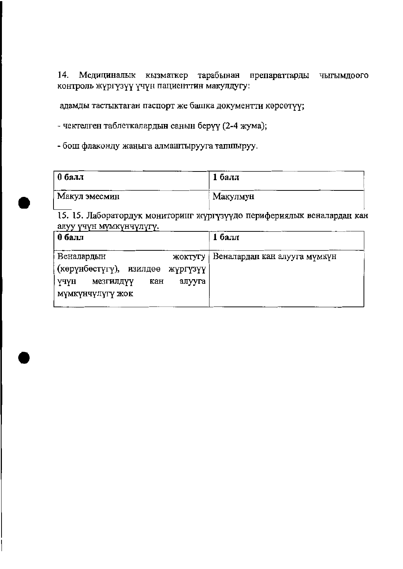14. Медициналык кызматкер тарабынан препараттарды чыгымдоого контроль жүргүзүү үчүн пациенттин макулдугу:

адамды тастыктаган паспорт же башка документти көрсөтүү;

- чектелген таблеткалардын санын берүү (2-4 жума);

- бош флаконду жаңыга алмаштырууга тапшыруу.

| 0 балл        | 1 балл   |
|---------------|----------|
| Макул эмесмин | Макулмун |

15. 15. Лаборатордук мониторинг жүргүзүүдө перифериялык веналардан кан алуу үчүн мүмкүнчүлүгү.

| 1 балл                                  |
|-----------------------------------------|
| Веналардан кан алууга мүмкүн<br>жоктугу |
| (көрүнбөстүгү), изилдөө жүргүзүү        |
| алууга                                  |
|                                         |
|                                         |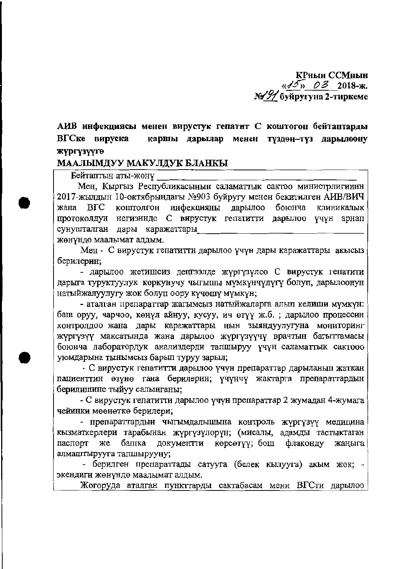КРнын ССМнын  $\frac{1}{2}$  03 2018-ж. № 91 буйругуна 2-тиркеме

АИВ инфекциясы менен вирустук гепатит С коштогон бейтаптарды каршы дарылар менен түздөн-түз дарылоону ВГСке вируска жүргүзүүгө

### МААЛЫМДУУ МАКУЛДУК БЛАНКЫ

Бейтаптын аты-жөнү

Мен, Кыргыз Республикасынын саламаттык сактоо министрлигинин 2017-жылдын 10-октябрындагы №903 буйругу менен бекитилген АИВ/ВИЧ коштолгон инфекцияны дарылоо жана  $_{\rm BIC}$ боюнча клиникалык протоколдун негизинде С вирустук гепатитти дарылоо үчүн арнап сунушталган дары каражаттары

жөнүндө маалымат алдым.

Мен - С вирустук гепатитти дарылоо үчүн дары каражаттары акысыз берилерин;

- дарылоо жетишсиз деңгээлде жүргүзүлсө С вирустук гепатити дарыга туруктуулук коркунучу чыгышы мүмкүнчүлүгү болуп, дарылоонун натыйжалуулугу жок болуп оору күчөшү мүмкүн;

- аталган препараттар жагымсыз натыйжаларга алып келиши мүмкүн: баш оруу, чарчоо, көңүл айнуу, кусуу, ич өтүү ж.б. ; дарылоо процессин контролдоо жана дары каражаттары нын зыяндуулугуна мониторинг жүргүзүү максатында жана дарылоо жүргүзүүчү врачтын багыттамасы боюнча лаборатордук анализдерди тапшыруу үчүн саламаттык сактооо уюмдарына тынымсыз барып туруу зарыл;

- С вирустук гепатитти дарылоо үчүн препараттар дарыланып жаткан пациенттин өзүнө гана берилерин; үчүнчү жактарга препараттардын берилишине тыйуу салынганы;

- С вирустук гепатитти дарылоо үчүн препараттар 2 жумадан 4-жумага чейинки мөөнөткө берилери;

- препараттардыи чыгымдалышына контроль жүргүзүү медицина кызматкерлери тарабынан жүргүзүлөрүн; (мисалы, адамды тастыктаган башка документти көрсөтүү; бош паспорт же флаконду жаныга алмаштырууга тапшырууну;

- берилген препараттады сатууга (белек кылууга) акым жок; экендиги жөнүндө маалымат алдым.

Жогоруда аталган пункттарды сактабасам мени ВГСти дарылоо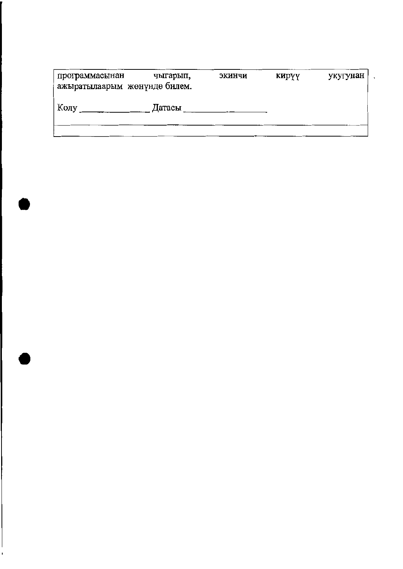| программасынан<br>ажыратылаарым жөнүндө билем. | чыгарып, | экинчи | кирүү | укугунан |
|------------------------------------------------|----------|--------|-------|----------|
| Колу                                           | Датасы   |        |       |          |
|                                                |          |        |       |          |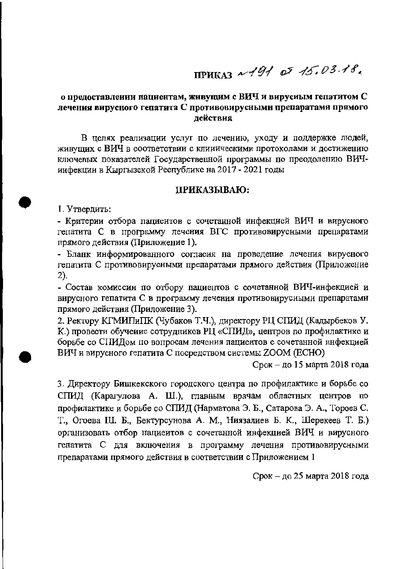**ПРИКАЗ**  $\sqrt{91}$  of 15.03.18.

### о предоставлении пациентам, живущим с ВИЧ и вирусиым гепатитом С лечения вирусного гепатита С противовирусными препаратами прямого лействия

В целях реализации услуг по лечению, уходу и поддержке людей, живущих с ВИЧ в соответствии с клиническими протоколами и достижению ключевых показателей Государственной программы по преодолению ВИЧиифекции в Кыргызской Республике на 2017 - 2021 годы

#### ПРИКАЗЫВАЮ:

1. Утвердить:

- Критерии отбора пациеитов с сочетанной инфекцией ВИЧ и вирусного гепатита С в программу лечения ВГС противовирусными препаратами прямого действия (Приложение 1).

- Бланк информированного согласия на проведение лечения вирусного гепатита С противовирусными препаратами прямого действия (Приложение 2).

- Состав комиссин по отбору пациентов с сочетанной ВИЧ-инфекцией и вирусного гепатита С в программу лечения противовирусиыми препаратами прямого действия (Приложение 3).

2. Ректору КГМИПиПК (Чубаков Т.Ч.), директору РЦ СПИД (Кадырбеков У. К.) провести обучение сотрудников РЦ «СПИД», центров по профилактике и борьбе со СПИДом по вопросам лечения пациентов с сочетанной инфекцией ВИЧ и вирусного гепатита С посредством системы ZOOM (ECHO)

Срок - до 15 марта 2018 года

3. Директору Бишкекского городского центра по профилактике и борьбе со СПИД (Карагулова А. Ш.), главным врачам областных центров по профилактике и борьбе со СПИД (Нарматова Э. Б., Сатарова Э. А., Тороев С. Т., Огоева Ш. Б., Бектурсунова А. М., Ниязалиев Б. К., Шерекеев Т. Б.) организовать отбор пациеитов с сочетанной инфекцией ВИЧ и вирусного гепатита С для включения в программу лечения противовирусными препаратами прямого действия в соответствии с Приложением 1

Срок – до 25 марта 2018 года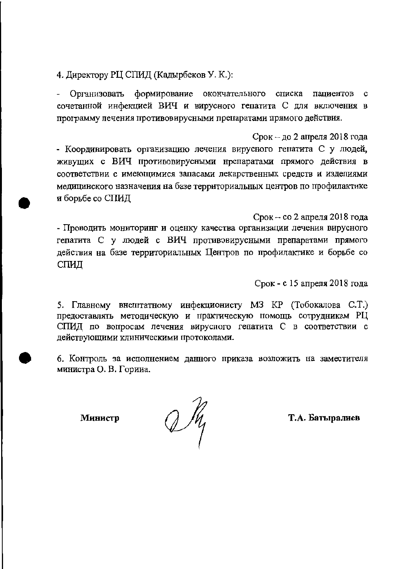4. Директору РЦ СПИД (Кадырбеков У. К.):

Организовать формирование окончательного списка пациентов  $\mathbf c$ сочетанной инфекцией ВИЧ и вирусного гепатита С для включения в программу лечения противовирусными препаратами прямого действия.

 $C$ рок – до 2 апреля 2018 года - Координировать организацию лечения вирусного гепатита С у людей, живущих с ВИЧ противовирусными нрепаратами прямого действия в соответствии с имеющимися запасами лекарственных средств и изделиями медицинского назначения на базе территориальных центров по профилактике и борьбе со СПИД

 $C$ рок - со 2 апреля 2018 года - Проводить мониторинг и оценку качества организации лечения вирусного гепатита С у людей с ВИЧ противовирусными препаратами прямого действия на базе территориальных Центров по профилактике и борьбе со СПИД

Срок - с 15 апреля 2018 года

5. Главному внештатному инфекционисту МЗ КР (Тобокалова С.Т.) предоставлять методическую и практическую помощь сотрудникам РЦ СПИД по вопросам лечения вируспого гепатита С в соответствии с действующими клиническими протоколами.

6. Контроль за исполнением данного приказа возложить на заместителя министра О. В. Горииа.

Министр

 $2\frac{\pi}{2}$ 

Т.А. Батыралиев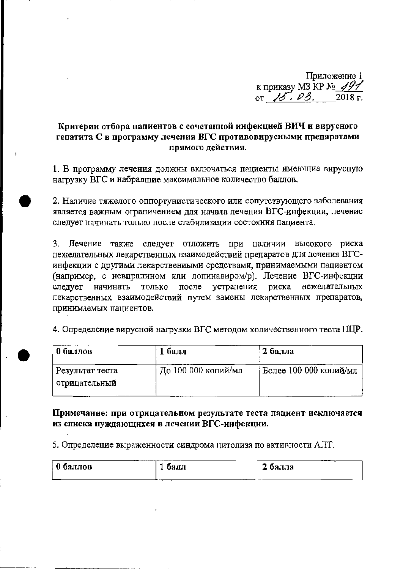Приложение 1 к приказу МЗ КР № 491

# Критерии отбора пациентов с сочетанной иифекцией ВИЧ и вирусного гепатита С в программу лечения ВГС противовирусными препаратами прямого действия.

1. В программу лечения должны включаться пациенты имеющие вирусную нагрузку ВГС и набравшие максимальное количество баллов.

2. Наличие тяжелого оппортунистического или сопутствующего заболевания является важным ограничением для начала лечения ВГС-инфекции, лечение следует начинать только после стабилизации состояния пациента.

3. Лечение также следует отложить при наличии высокого риска нежелательных лекарственных взаимодействий препаратов для лечения ВГСинфекции с другими лекарствениыми средствами, принимаемыми пациентом (например, с невирапином или лопинавиром/р). Лечение ВГС-инфекции только после устранения риска следует начинать нежелательных лекарственных взаимодействий путем замены лекарственных препаратов, принимаемых пациентов.

4. Определение вирусной нагрузки ВГС методом количественного теста ПЦР.

| 0 баллов                             | 1 балл              | 2 балла                |
|--------------------------------------|---------------------|------------------------|
| . Результат теста<br>' отрицательный | До 100 000 копий/мл | Более 100 000 копий/мл |

Примечание: при отрицательиом результате теста пациент исключается из списка нуждающихся в лечении ВГС-инфекции.

5. Определение выраженности синдрома цитолиза по активности АЛТ.

| -----------<br>0 баллов | -<br>оалл | ------<br>e<br>балла |
|-------------------------|-----------|----------------------|
|                         | --        | ____                 |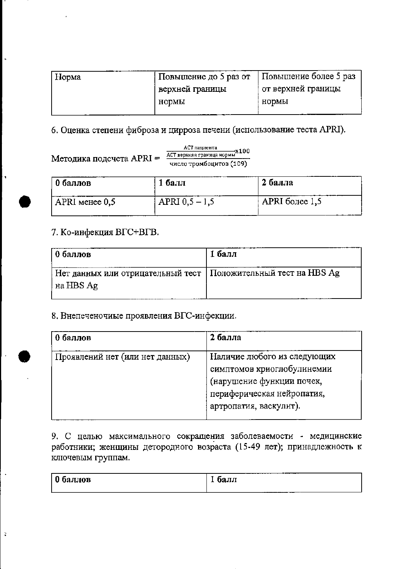| Hopмa | Повышение до 5 раз от | Повышение более 5 раз |
|-------|-----------------------|-----------------------|
|       | верхней границы       | от верхней границы    |
|       | нормы                 | HODMLI                |
|       |                       |                       |

6. Оценка степени фиброза и цирроза печени (использование теста APRI).

АСТ пациента Методика подсчета  $APRI = \frac{ACT_{BBX1AB1}^{C1} T_{BBY1AB1}^{B1} T_{BBY1AB1}^{C1} T_{BBY1AB1}^{D2} T_{BBY1AB1}^{D3} T_{BBY1AB1}^{D4} T_{BBY1AB1}^{D5} T_{BBY1AB1}^{D5} T_{BBY1AB1}^{D6} T_{BBY1AB1}^{D7} T_{BBY1AB1}^{D8} T_{BBY1AB1}^{D8} T_{BBY1AB1}^{D8} T_{BBY1AB1}^{D9} T_{BBY1AB1}^{D1} T_{BBY1AB1}^{D1} T_{$ число тромбоцитов (109)

| 0 баллов       | 1 балл           | 2 балла        |
|----------------|------------------|----------------|
| APRI менее 0,5 | APRI $0,5 - 1,5$ | APRI более 1,5 |

# 7. Ко-инфекция ВГС+ВГВ.

Ŋ

| $\vert$ 0 баллов                                                 | 1 балл |
|------------------------------------------------------------------|--------|
| Нет данных или отрицательный тест   Положительный тест на HBS Ag |        |
| на HBS Ag                                                        |        |

# 8. Внепеченочиые проявления ВГС-инфекции.

| 0 баллов                        | 2 балла                     |
|---------------------------------|-----------------------------|
| Проявлений нет (или нет данных) | Наличие любого из следующих |
|                                 | симптомов криоглобулинемии  |
|                                 | (нарушение функции почек,   |
|                                 | периферическая нейропатия,  |
|                                 | артропатия, васкулит).      |

9. С целью максимального сокращения заболеваемости - медицинские работники; женщины детородного возраста (15-49 лет); принадлежность к ключевым группам.

| £<br>баллов | ------<br>балл<br>- |
|-------------|---------------------|
|             |                     |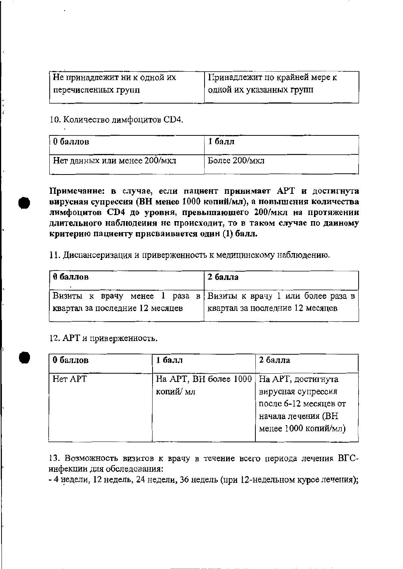| Не принадлежит ни к одной их | Принадлежит по крайней мере к |
|------------------------------|-------------------------------|
| перечисленных групп          | одной их указанных групп      |

10. Количество лимфоцитов СD4.

| 0 баллов                     | 1 балл        |
|------------------------------|---------------|
| Нет данных или менее 200/мкл | Более 200/мкл |

Примечание: в случае, если пациент принимает АРТ и достигнута вирусная супрессия (ВН менее 1000 копий/мл), а повышения количества лимфоцитов СD4 до уровня, превышающего 200/мкл на протяжении длительного наблюдения не происходит, то в таком случае по даиному критерию пациенту присваивается один (1) балл.

11. Диспансеризация и приверженность к медицинскому наблюдению.

| 0 баллов                        | 2 балла                                                           |
|---------------------------------|-------------------------------------------------------------------|
|                                 | Визиты к врачу менее 1 раза в   Визиты к врачу 1 или более раза в |
| квартал за последние 12 месяцев | квартал за последние 12 месяцев                                   |

12. АРТ и приверженность.

| 0 баллов | 1 балл                                     | 2 балла                |
|----------|--------------------------------------------|------------------------|
| Her APT  | На АРТ, ВН более 1000   На АРТ, достигнута |                        |
|          | копий/мл                                   | вирусная супрессия     |
|          |                                            | после 6-12 месяцев от  |
|          |                                            | начала лечения (ВН     |
|          |                                            | менее $1000$ копий/мл) |
|          |                                            |                        |

13. Возможность визитов к врачу в течение всего периода лечения ВГСинфекции для обследования:

- 4 недели, 12 недель, 24 недели, 36 недель (при 12-недельном курсе лечения);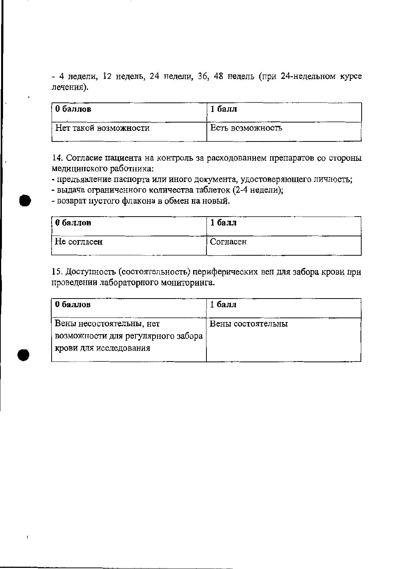- 4 недели, 12 недель, 24 недели, 36, 48 недель (при 24-недельном курсе лечения).

| 0 баллов              | 1 балл           |
|-----------------------|------------------|
| Нет такой возможности | Есть возможность |

14. Согласие пациента на контроль за расходованием препаратов со стороны медицинского работника:

- предъявление паспорта или иного документа, удостоверяющего личность;

- выдача ограниченного количества таблеток (2-4 недели);

- возврат пустого флакона в обмен на новый.

| 0 баллов    | 1 балл   |
|-------------|----------|
| Не согласен | Согласен |

15. Доступность (состоятельность) периферических вен для забора крови при проведении лабораторного мониторинга.

| 0 баллов                           | 1 балл            |
|------------------------------------|-------------------|
| Вены несостоятельны, нет           | Вены состоятельны |
| возможности для регулярного забора |                   |
| крови для исследования             |                   |
|                                    |                   |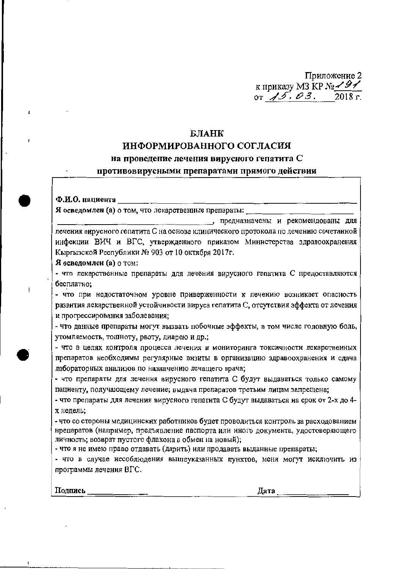Приложение 2 к приказу МЗ КР № <del>191</del><br>or 15.03. 2018 г.  $2018$  r.

### БЛАНК

#### ИНФОРМИРОВАННОГО СОГЛАСИЯ

#### на проведение лечения вирусного гепатита С

#### противовирусными препаратами прямого действия

#### Ф.И.О. пациента

Я осведомлен (а) о том, что лекарственные препараты:

, предназначены и рекомендованы для лечения вирусного гепатита С на основе клинического протокола по лечению сочетанной инфекции ВИЧ и ВГС, утвержденного приказом Министерства здравоохранения Кыргызской Республики № 903 от 10 октября 2017г.

Я осведомлен (а) о том:

- что лекарственные препараты для лечения вирусного гепатита С предоставляются бесплатно:

- что при недостаточном уровне приверженности к лечению возникает опасность развития лекарственной устойчивости вируса гепатита С, отсутствия эффекта от лечения и прогрессирования заболевания;

- что данные препараты могут вызвать побочные эффекты, в том числе головную боль, утомляемость, тошноту, рвоту, диарею и др.;

- что в целях контроля процесса лечения и мониторинга токсичности лекарственных препаратов необходимы регулярные внзиты в организацию здравоохранения и сдача лабораторных анализов по назначению лечащего врача;

- что препараты для лечения вирусного гепатита С будут выдаваться только самому пациенту, получающему лечение; выдача препаратов третьим лицам запрещена;

- что препараты для лечения вирусного гепатита С будут выдаваться на срок от 2-х до 4х недель;

- что со стороны медицинских работников будет проводиться контроль за расходованием нрепаратов (например, предъявление паспорта или иного документа, удостоверяющего личность; возврат пустого флакона в обмен на новый);

- что я не имею право отдавать (дарить) или продавать выданные препараты;

- что в случае несоблюдения вышеуказанных пунктов, меня могут исключить из программы лечения ВГС.

Полпись

Дата